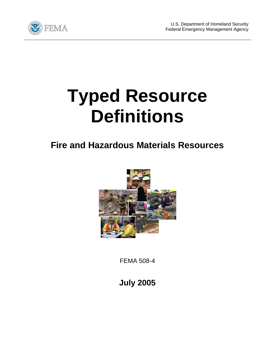

## **Typed Resource Definitions**

## **Fire and Hazardous Materials Resources**



FEMA 508-4

**July 2005**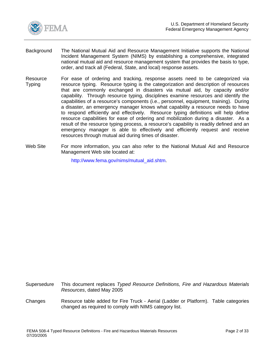<span id="page-1-0"></span>

- Background The National Mutual Aid and Resource Management Initiative supports the National Incident Management System (NIMS) by establishing a comprehensive, integrated national mutual aid and resource management system that provides the basis to type, order, and track all (Federal, State, and local) response assets.
- Resource Typing For ease of ordering and tracking, response assets need to be categorized via resource typing. Resource typing is the categorization and description of resources that are commonly exchanged in disasters via mutual aid, by capacity and/or capability. Through resource typing, disciplines examine resources and identify the capabilities of a resource's components (i.e., personnel, equipment, training). During a disaster, an emergency manager knows what capability a resource needs to have to respond efficiently and effectively. Resource typing definitions will help define resource capabilities for ease of ordering and mobilization during a disaster. As a result of the resource typing process, a resource's capability is readily defined and an emergency manager is able to effectively and efficiently request and receive resources through mutual aid during times of disaster.
- Web Site For more information, you can also refer to the National Mutual Aid and Resource Management Web site located at:

http://www.fema.gov/nims/mutual\_aid.shtm.

- Supersedure This document replaces *Typed Resource Definitions, Fire and Hazardous Materials Resources*, dated May 2005
- Changes Resource table added for Fire Truck Aerial (Ladder or Platform). Table categories changed as required to comply with NIMS category list.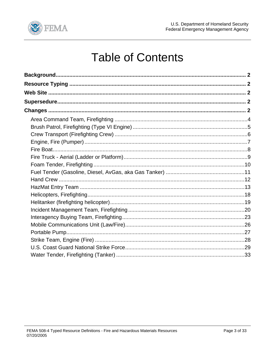

## **Table of Contents**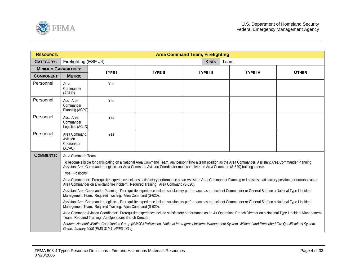<span id="page-3-0"></span>

| <b>RESOURCE:</b>             |                                                   |                                                                                                                                                                                                                                   |                                                                                                                                  | <b>Area Command Team, Firefighting</b> |                                                                                                                                                                           |              |  |  |
|------------------------------|---------------------------------------------------|-----------------------------------------------------------------------------------------------------------------------------------------------------------------------------------------------------------------------------------|----------------------------------------------------------------------------------------------------------------------------------|----------------------------------------|---------------------------------------------------------------------------------------------------------------------------------------------------------------------------|--------------|--|--|
| <b>CATEGORY:</b>             | Firefighting (ESF #4)                             |                                                                                                                                                                                                                                   |                                                                                                                                  | KIND:                                  | Team                                                                                                                                                                      |              |  |  |
| <b>MINIMUM CAPABILITIES:</b> |                                                   | <b>TYPE I</b>                                                                                                                                                                                                                     | <b>TYPE II</b>                                                                                                                   | <b>TYPE III</b>                        | <b>TYPE IV</b>                                                                                                                                                            | <b>OTHER</b> |  |  |
| <b>COMPONENT</b>             | <b>METRIC</b>                                     |                                                                                                                                                                                                                                   |                                                                                                                                  |                                        |                                                                                                                                                                           |              |  |  |
| Personnel                    | Area<br>Commander<br>(ACDR)                       | Yes                                                                                                                                                                                                                               |                                                                                                                                  |                                        |                                                                                                                                                                           |              |  |  |
| Personnel                    | Asst. Area<br>Commander<br>Planning (ACPC         | Yes                                                                                                                                                                                                                               |                                                                                                                                  |                                        |                                                                                                                                                                           |              |  |  |
| Personnel                    | Asst. Area<br>Commander<br>Logistics (ACLC)       | Yes                                                                                                                                                                                                                               |                                                                                                                                  |                                        |                                                                                                                                                                           |              |  |  |
| Personnel                    | Area Command<br>Aviation<br>Coordinator<br>(ACAC) | Yes                                                                                                                                                                                                                               |                                                                                                                                  |                                        |                                                                                                                                                                           |              |  |  |
| <b>COMMENTS:</b>             | Area Command Team                                 |                                                                                                                                                                                                                                   |                                                                                                                                  |                                        |                                                                                                                                                                           |              |  |  |
|                              |                                                   |                                                                                                                                                                                                                                   | Assistant Area Commander Logistics, or Area Command Aviation Coordinator must complete the Area Command (S-620) training course. |                                        | To become eligible for participating on a National Area Command Team, any person filling a team position as the Area Commander, Assistant Area Commander Planning,        |              |  |  |
|                              | Type I Positions:                                 |                                                                                                                                                                                                                                   |                                                                                                                                  |                                        |                                                                                                                                                                           |              |  |  |
|                              |                                                   |                                                                                                                                                                                                                                   | Area Commander on a wildland fire incident. Required Training: Area Command (S-620).                                             |                                        | Area Commander: Prerequisite experience includes satisfactory performance as an Assistant Area Commander Planning or Logistics; satisfactory position performance as an   |              |  |  |
|                              |                                                   | Management Team. Required Training: Area Command (S-620).                                                                                                                                                                         |                                                                                                                                  |                                        | Assistant Area Commander Planning: Prerequisite experience include satisfactory performance as an Incident Commander or General Staff on a National Type I Incident       |              |  |  |
|                              |                                                   | Assistant Area Commander Logistics: Prerequisite experience include satisfactory performance as an Incident Commander or General Staff on a National Type I Incident<br>Management Team. Required Training: Area Command (S-620). |                                                                                                                                  |                                        |                                                                                                                                                                           |              |  |  |
|                              |                                                   | Team. Required Training: Air Operations Branch Director.                                                                                                                                                                          |                                                                                                                                  |                                        | Area Command Aviation Coordinator: Prerequisite experience include satisfactory performance as an Air Operations Branch Director on a National Type I Incident Management |              |  |  |
|                              |                                                   | Guide, January 2000 (PMS 310-1, NFES 1414).                                                                                                                                                                                       |                                                                                                                                  |                                        | Source: National Wildfire Coordination Group (NWCG) Publication, National Interagency Incident Management System, Wildland and Prescribed Fire Qualifications System      |              |  |  |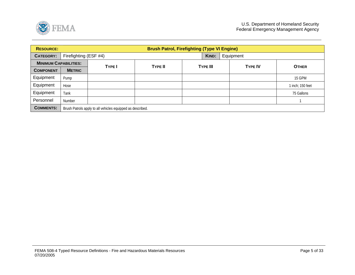<span id="page-4-0"></span>

| <b>RESOURCE:</b>             |                                                            | <b>Brush Patrol, Firefighting (Type VI Engine)</b> |                |                 |                |                  |  |  |  |
|------------------------------|------------------------------------------------------------|----------------------------------------------------|----------------|-----------------|----------------|------------------|--|--|--|
| <b>CATEGORY:</b>             | Firefighting (ESF #4)                                      |                                                    |                | KIND:           | Equipment      |                  |  |  |  |
| <b>MINIMUM CAPABILITIES:</b> |                                                            | <b>TYPE</b>                                        | <b>TYPE II</b> | <b>TYPE III</b> | <b>TYPE IV</b> | <b>OTHER</b>     |  |  |  |
| <b>COMPONENT</b>             | <b>METRIC</b>                                              |                                                    |                |                 |                |                  |  |  |  |
| Equipment                    | Pump                                                       |                                                    |                |                 |                | 15 GPM           |  |  |  |
| Equipment                    | Hose                                                       |                                                    |                |                 |                | 1 inch; 150 feet |  |  |  |
| Equipment                    | Tank                                                       |                                                    |                |                 |                | 75 Gallons       |  |  |  |
| Personnel                    | Number                                                     |                                                    |                |                 |                |                  |  |  |  |
| <b>COMMENTS:</b>             | Brush Patrols apply to all vehicles equipped as described. |                                                    |                |                 |                |                  |  |  |  |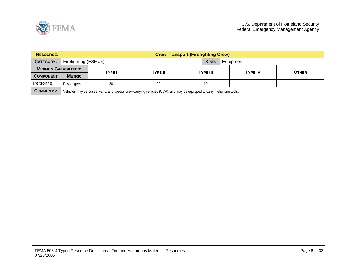<span id="page-5-0"></span>

| <b>RESOURCE:</b>             |                   | <b>Crew Transport (Firefighting Crew)</b>                                                                               |                |                 |  |                |  |              |  |  |
|------------------------------|-------------------|-------------------------------------------------------------------------------------------------------------------------|----------------|-----------------|--|----------------|--|--------------|--|--|
| CATEGORY:                    |                   | Firefighting (ESF #4)<br>KIND:<br>Equipment                                                                             |                |                 |  |                |  |              |  |  |
| <b>MINIMUM CAPABILITIES:</b> |                   | <b>TYPE</b>                                                                                                             | <b>TYPE II</b> | <b>TYPE III</b> |  | <b>TYPE IV</b> |  | <b>OTHER</b> |  |  |
| <b>COMPONENT</b>             | <b>METRIC</b>     |                                                                                                                         |                |                 |  |                |  |              |  |  |
| Personnel                    | <b>Passengers</b> | 30                                                                                                                      | 20             | 10              |  |                |  |              |  |  |
| <b>COMMENTS:</b>             |                   | Vehicles may be buses, vans, and special crew carrying vehicles (CCV), and may be equipped to carry firefighting tools. |                |                 |  |                |  |              |  |  |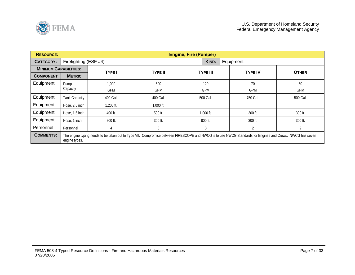<span id="page-6-0"></span>

| <b>RESOURCE:</b>             |                       | <b>Engine, Fire (Pumper)</b>                                                                                                                              |                |                 |       |                |              |  |  |
|------------------------------|-----------------------|-----------------------------------------------------------------------------------------------------------------------------------------------------------|----------------|-----------------|-------|----------------|--------------|--|--|
| <b>CATEGORY:</b>             | Firefighting (ESF #4) |                                                                                                                                                           |                |                 | KIND: | Equipment      |              |  |  |
| <b>MINIMUM CAPABILITIES:</b> |                       | <b>TYPE I</b>                                                                                                                                             | <b>TYPE II</b> |                 |       | <b>TYPE IV</b> | <b>OTHER</b> |  |  |
| <b>COMPONENT</b>             | <b>METRIC</b>         |                                                                                                                                                           |                | <b>TYPE III</b> |       |                |              |  |  |
| Equipment                    | Pump                  | 1,000                                                                                                                                                     | 500            | 120             |       | 70             | 50           |  |  |
|                              | Capacity              | <b>GPM</b>                                                                                                                                                | <b>GPM</b>     | <b>GPM</b>      |       | <b>GPM</b>     | <b>GPM</b>   |  |  |
| Equipment                    | Tank Capacity         | 400 Gal.                                                                                                                                                  | 400 Gal.       | 500 Gal.        |       | 750 Gal.       | 500 Gal.     |  |  |
| Equipment                    | Hose, 2.5 inch        | $1,200$ ft.                                                                                                                                               | $1,000$ ft.    |                 |       |                |              |  |  |
| Equipment                    | Hose, 1.5 inch        | 400 ft.                                                                                                                                                   | 500 ft.        | $1,000$ ft.     |       | 300 ft.        | 300 ft.      |  |  |
| Equipment                    | Hose, 1 inch          | 200 ft.                                                                                                                                                   | 300 ft.        | 800 ft.         |       | 300 ft.        | 300 ft.      |  |  |
| Personnel                    | Personnel             | 4                                                                                                                                                         | 3              | 3               |       | $\overline{2}$ |              |  |  |
| <b>COMMENTS:</b>             | engine types.         | The engine typing needs to be taken out to Type VII. Compromise between FIRESCOPE and NWCG is to use NWCG Standards for Engines and Crews. NWCG has seven |                |                 |       |                |              |  |  |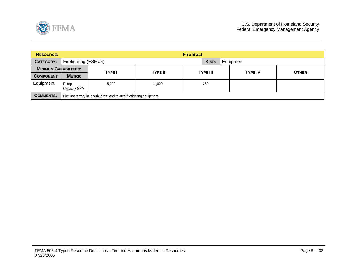<span id="page-7-0"></span>

| <b>RESOURCE:</b>             |                       |                                                                       |       |                 |           |  |                |              |  |
|------------------------------|-----------------------|-----------------------------------------------------------------------|-------|-----------------|-----------|--|----------------|--------------|--|
| <b>CATEGORY:</b>             | Firefighting (ESF #4) |                                                                       | KIND: |                 | Equipment |  |                |              |  |
| <b>MINIMUM CAPABILITIES:</b> |                       | <b>TYPE</b><br><b>TYPE II</b>                                         |       |                 |           |  | <b>TYPE IV</b> | <b>OTHER</b> |  |
| <b>COMPONENT</b>             | <b>METRIC</b>         |                                                                       |       | <b>TYPE III</b> |           |  |                |              |  |
| Equipment                    | Pump<br>Capacity GPM  | 5,000                                                                 | 1,000 |                 | 250       |  |                |              |  |
| <b>COMMENTS:</b>             |                       | Fire Boats vary in length, draft, and related firefighting equipment. |       |                 |           |  |                |              |  |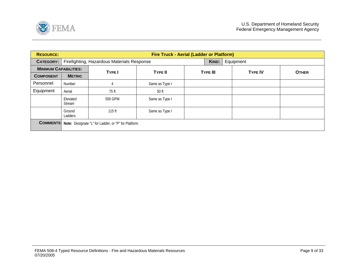<span id="page-8-0"></span>

| <b>RESOURCE:</b>             |                           | Fire Truck - Aerial (Ladder or Platform)             |                |                    |                |              |  |  |  |  |
|------------------------------|---------------------------|------------------------------------------------------|----------------|--------------------|----------------|--------------|--|--|--|--|
| <b>CATEGORY:</b>             |                           | Firefighting, Hazardous Materials Response           |                | Equipment<br>KIND: |                |              |  |  |  |  |
| <b>MINIMUM CAPABILITIES:</b> |                           | <b>TYPE I</b>                                        | <b>TYPE II</b> | <b>TYPE III</b>    | <b>TYPE IV</b> | <b>OTHER</b> |  |  |  |  |
| <b>COMPONENT</b>             | <b>METRIC</b>             |                                                      |                |                    |                |              |  |  |  |  |
| Personnel                    | Number                    |                                                      | Same as Type I |                    |                |              |  |  |  |  |
| Equipment                    | Aerial                    | 75 ft                                                | 50 ft          |                    |                |              |  |  |  |  |
|                              | Elevated<br><b>Stream</b> | 500 GPM                                              | Same as Type I |                    |                |              |  |  |  |  |
|                              | Ground<br>Ladders         | $115$ ft                                             | Same as Type I |                    |                |              |  |  |  |  |
| <b>COMMENTS:</b>             |                           | Note: Designate "L" for Ladder, or "P" for Platform. |                |                    |                |              |  |  |  |  |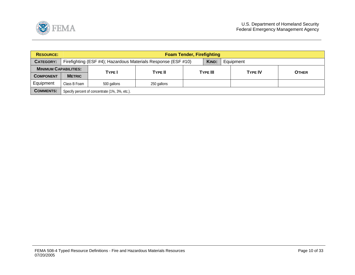<span id="page-9-0"></span>

| <b>RESOURCE:</b>             |               | <b>Foam Tender, Firefighting</b>                                                    |                |  |                 |  |                                |  |  |
|------------------------------|---------------|-------------------------------------------------------------------------------------|----------------|--|-----------------|--|--------------------------------|--|--|
| CATEGORY:                    |               | Firefighting (ESF #4); Hazardous Materials Response (ESF #10)<br>KIND:<br>Equipment |                |  |                 |  |                                |  |  |
| <b>MINIMUM CAPABILITIES:</b> |               | <b>TYPE</b>                                                                         | <b>TYPE II</b> |  | <b>TYPE III</b> |  | <b>TYPE IV</b><br><b>OTHER</b> |  |  |
| <b>COMPONENT</b>             | <b>METRIC</b> |                                                                                     |                |  |                 |  |                                |  |  |
| Equipment                    | Class B Foam  | 500 gallons                                                                         | 250 gallons    |  |                 |  |                                |  |  |
| <b>COMMENTS:</b>             |               | Specify percent of concentrate (1%, 3%, etc.).                                      |                |  |                 |  |                                |  |  |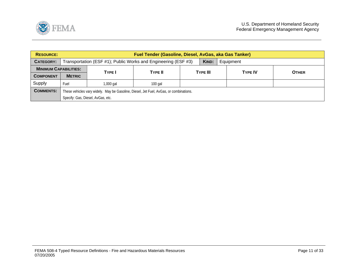<span id="page-10-0"></span>

| <b>RESOURCE:</b>             | Fuel Tender (Gasoline, Diesel, AvGas, aka Gas Tanker)                                  |                                                                                      |                |  |          |  |                |              |  |
|------------------------------|----------------------------------------------------------------------------------------|--------------------------------------------------------------------------------------|----------------|--|----------|--|----------------|--------------|--|
| CATEGORY:                    |                                                                                        | KIND:<br>Transportation (ESF #1); Public Works and Engineering (ESF #3)<br>Equipment |                |  |          |  |                |              |  |
| <b>MINIMUM CAPABILITIES:</b> |                                                                                        | <b>TYPE I</b>                                                                        | <b>TYPE II</b> |  | TYPE III |  | <b>TYPE IV</b> | <b>OTHER</b> |  |
| <b>COMPONENT</b>             | <b>METRIC</b>                                                                          |                                                                                      |                |  |          |  |                |              |  |
| Supply                       | Fuel                                                                                   | 1,000 gal                                                                            | $100$ gal      |  |          |  |                |              |  |
| <b>COMMENTS:</b>             | These vehicles vary widely. May be Gasoline, Diesel, Jet Fuel, AvGas, or combinations. |                                                                                      |                |  |          |  |                |              |  |
|                              |                                                                                        | Specify: Gas, Diesel, AvGas, etc.                                                    |                |  |          |  |                |              |  |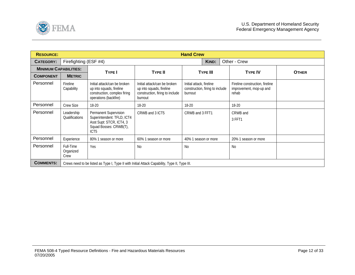<span id="page-11-0"></span>

| <b>RESOURCE:</b>             |                                |                                                                                                                               |                                                                                                        | <b>Hand Crew</b>                                                       |                                                                     |              |
|------------------------------|--------------------------------|-------------------------------------------------------------------------------------------------------------------------------|--------------------------------------------------------------------------------------------------------|------------------------------------------------------------------------|---------------------------------------------------------------------|--------------|
| <b>CATEGORY:</b>             | Firefighting (ESF #4)          |                                                                                                                               |                                                                                                        | KIND:                                                                  | Other - Crew                                                        |              |
| <b>MINIMUM CAPABILITIES:</b> |                                | <b>TYPE I</b>                                                                                                                 | <b>TYPE II</b>                                                                                         | <b>TYPE III</b>                                                        | <b>TYPE IV</b>                                                      | <b>OTHER</b> |
| <b>COMPONENT</b>             | <b>METRIC</b>                  |                                                                                                                               |                                                                                                        |                                                                        |                                                                     |              |
| Personnel                    | Fireline<br>Capability         | Initial attack/can be broken<br>up into squads, fireline<br>construction, complex firing<br>operations (backfire)             | Initial attack/can be broken<br>up into squads, fireline<br>construction, firing to include<br>burnout | Initial attack, fireline<br>construction, firing to include<br>burnout | Fireline construction, fireline<br>improvement, mop-up and<br>rehab |              |
| Personnel                    | <b>Crew Size</b>               | 18-20                                                                                                                         | 18-20                                                                                                  | 18-20                                                                  | 18-20                                                               |              |
| Personnel                    | Leadership<br>Qualifications   | Permanent Supervision<br>Superintendent: TFLD, ICT4<br>Asst Supt: STCR, ICT4, 3<br>Squad Bosses: CRWB(T),<br>ICT <sub>5</sub> | CRWB and 3 ICT5                                                                                        | CRWB and 3 FFT1                                                        | CRWB and<br>3 FFT1                                                  |              |
| Personnel                    | Experience                     | 80% 1 season or more                                                                                                          | 60% 1 season or more                                                                                   | 40% 1 season or more                                                   | 20% 1 season or more                                                |              |
| Personnel                    | Full-Time<br>Organized<br>Crew | Yes                                                                                                                           | <b>No</b>                                                                                              | <b>No</b>                                                              | N <sub>0</sub>                                                      |              |
| <b>COMMENTS:</b>             |                                | Crews need to be listed as Type I, Type II with Initial Attack Capability, Type II, Type III.                                 |                                                                                                        |                                                                        |                                                                     |              |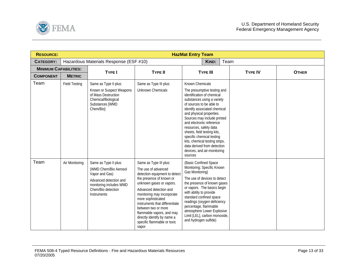<span id="page-12-0"></span>

| <b>RESOURCE:</b>             |                      |                                                                                                                                                            |                                                                                                                                                                                                                                                                                                                                                                                   | <b>HazMat Entry Team</b>                                                                                                                                                                                                                                                                                                                                                                                                                                       |                |              |
|------------------------------|----------------------|------------------------------------------------------------------------------------------------------------------------------------------------------------|-----------------------------------------------------------------------------------------------------------------------------------------------------------------------------------------------------------------------------------------------------------------------------------------------------------------------------------------------------------------------------------|----------------------------------------------------------------------------------------------------------------------------------------------------------------------------------------------------------------------------------------------------------------------------------------------------------------------------------------------------------------------------------------------------------------------------------------------------------------|----------------|--------------|
| <b>CATEGORY:</b>             |                      | Hazardous Materials Response (ESF #10)                                                                                                                     |                                                                                                                                                                                                                                                                                                                                                                                   | Team<br>KIND:                                                                                                                                                                                                                                                                                                                                                                                                                                                  |                |              |
| <b>MINIMUM CAPABILITIES:</b> |                      | <b>TYPE I</b>                                                                                                                                              | <b>TYPE II</b>                                                                                                                                                                                                                                                                                                                                                                    | <b>TYPE III</b>                                                                                                                                                                                                                                                                                                                                                                                                                                                | <b>TYPE IV</b> | <b>OTHER</b> |
| <b>COMPONENT</b>             | <b>METRIC</b>        |                                                                                                                                                            |                                                                                                                                                                                                                                                                                                                                                                                   |                                                                                                                                                                                                                                                                                                                                                                                                                                                                |                |              |
| Team                         | <b>Field Testing</b> | Same as Type II plus:<br>Known or Suspect Weapons<br>of Mass Destruction<br>Chemical/Biological<br>Substances [WMD<br>Chem/Biol                            | Same as Type III plus:<br><b>Unknown Chemicals</b>                                                                                                                                                                                                                                                                                                                                | Known Chemicals<br>The presumptive testing and<br>identification of chemical<br>substances using a variety<br>of sources to be able to<br>identify associated chemical<br>and physical properties.<br>Sources may include printed<br>and electronic reference<br>resources, safety data<br>sheets, field testing kits,<br>specific chemical testing<br>kits, chemical testing strips,<br>data derived from detection<br>devices, and air-monitoring<br>sources |                |              |
| Team                         | Air Monitoring       | Same as Type II plus:<br>(WMD Chem/Bio Aerosol<br>Vapor and Gas)<br>Advanced detection and<br>monitoring includes WMD<br>Chem/Bio detection<br>Instruments | Same as Type III plus:<br>The use of advanced<br>detection equipment to detect<br>the presence of known or<br>unknown gases or vapors.<br>Advanced detection and<br>monitoring may incorporate<br>more sophisticated<br>instruments that differentiate<br>between two or more<br>flammable vapors, and may<br>directly identify by name a<br>specific flammable or toxic<br>vapor | (Basic Confined Space<br>Monitoring; Specific Known<br>Gas Monitoring)<br>The use of devices to detect<br>the presence of known gases<br>or vapors. The basics begin<br>with ability to provide<br>standard confined space<br>readings (oxygen deficiency<br>percentage, flammable<br>atmosphere Lower Explosive<br>Limit [LEL], carbon monoxide,<br>and hydrogen sulfide)                                                                                     |                |              |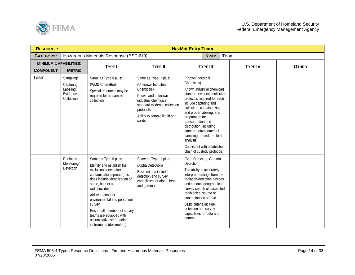

| <b>RESOURCE:</b>             |                                                              |                                                                                                                                                                                                                                                                                                                                                                           |                                                                                                                                                                                                  | <b>HazMat Entry Team</b>                                                                                                                                                                                                                                                                                                                                                                                               |                |              |
|------------------------------|--------------------------------------------------------------|---------------------------------------------------------------------------------------------------------------------------------------------------------------------------------------------------------------------------------------------------------------------------------------------------------------------------------------------------------------------------|--------------------------------------------------------------------------------------------------------------------------------------------------------------------------------------------------|------------------------------------------------------------------------------------------------------------------------------------------------------------------------------------------------------------------------------------------------------------------------------------------------------------------------------------------------------------------------------------------------------------------------|----------------|--------------|
| <b>CATEGORY:</b>             |                                                              | Hazardous Materials Response (ESF #10)                                                                                                                                                                                                                                                                                                                                    |                                                                                                                                                                                                  | Team<br>KIND:                                                                                                                                                                                                                                                                                                                                                                                                          |                |              |
| <b>MINIMUM CAPABILITIES:</b> |                                                              | <b>TYPE I</b>                                                                                                                                                                                                                                                                                                                                                             | <b>TYPE II</b>                                                                                                                                                                                   | <b>TYPE III</b>                                                                                                                                                                                                                                                                                                                                                                                                        | <b>TYPE IV</b> | <b>OTHER</b> |
| <b>COMPONENT</b>             | <b>METRIC</b>                                                |                                                                                                                                                                                                                                                                                                                                                                           |                                                                                                                                                                                                  |                                                                                                                                                                                                                                                                                                                                                                                                                        |                |              |
| Team                         | Sampling:<br>Capturing<br>Labeling<br>Evidence<br>Collection | Same as Type II plus:<br>(WMD Chem/Bio)<br>Special resources may be<br>required for air sample<br>collection                                                                                                                                                                                                                                                              | Same as Type III plus:<br>(Unknown Industrial<br>Chemicals)<br>Known and unknown<br>industrial chemicals<br>standard evidence collection<br>protocols.<br>Ability to sample liquid and<br>solids | (Known Industrial<br>Chemicals)<br>Known industrial chemicals<br>standard evidence collection<br>protocols required for each<br>include capturing and<br>collection, containerizing<br>and proper labeling, and<br>preparation for<br>transportation and<br>distribution, including<br>standard environmental<br>sampling procedures for lab<br>analysis.<br>Consistent with established<br>chain of custody protocols |                |              |
|                              | Radiation<br>Monitoring/<br>Detection                        | Same as Type II plus:<br>Identify and establish the<br>exclusion zones after<br>contamination spread (this<br>does include identification of<br>some, but not all,<br>radionuclides).<br>Ability to conduct<br>environmental and personnel<br>survey.<br>Ensure all members of survey<br>teams are equipped with<br>accumulative self-reading<br>instruments (dosimeters) | Same as Type III plus:<br>(Alpha Detection)<br>Basic criteria include<br>detection and survey<br>capabilities for alpha, beta,<br>and gamma                                                      | (Beta Detection; Gamma<br>Detection)<br>The ability to accurately<br>interpret readings from the<br>radiation-detection devices<br>and conduct geographical<br>survey search of suspected<br>radiological source or<br>contamination spread.<br>Basic criteria include<br>detection and survey<br>capabilities for beta and<br>qamma                                                                                   |                |              |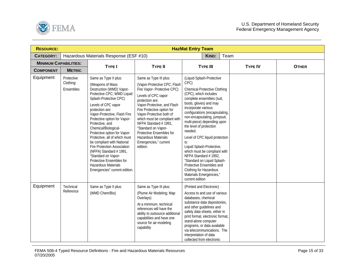

| <b>RESOURCE:</b>             |                                      |                                                                                                                                                                                                                                                                                                                                                                                                                                                                                                                                                              |                                                                                                                                                                                                                                                                                                                                                                                                 | <b>HazMat Entry Team</b>                                                                                                                                                                                                                                                                                                                                                                                                                                                                                                                                                                |                |              |
|------------------------------|--------------------------------------|--------------------------------------------------------------------------------------------------------------------------------------------------------------------------------------------------------------------------------------------------------------------------------------------------------------------------------------------------------------------------------------------------------------------------------------------------------------------------------------------------------------------------------------------------------------|-------------------------------------------------------------------------------------------------------------------------------------------------------------------------------------------------------------------------------------------------------------------------------------------------------------------------------------------------------------------------------------------------|-----------------------------------------------------------------------------------------------------------------------------------------------------------------------------------------------------------------------------------------------------------------------------------------------------------------------------------------------------------------------------------------------------------------------------------------------------------------------------------------------------------------------------------------------------------------------------------------|----------------|--------------|
| <b>CATEGORY:</b>             |                                      | Hazardous Materials Response (ESF #10)                                                                                                                                                                                                                                                                                                                                                                                                                                                                                                                       |                                                                                                                                                                                                                                                                                                                                                                                                 | Team<br><b>KIND:</b>                                                                                                                                                                                                                                                                                                                                                                                                                                                                                                                                                                    |                |              |
| <b>MINIMUM CAPABILITIES:</b> |                                      | <b>TYPE I</b>                                                                                                                                                                                                                                                                                                                                                                                                                                                                                                                                                | <b>TYPE II</b>                                                                                                                                                                                                                                                                                                                                                                                  | <b>TYPE III</b>                                                                                                                                                                                                                                                                                                                                                                                                                                                                                                                                                                         | <b>TYPE IV</b> | <b>OTHER</b> |
| <b>COMPONENT</b>             | <b>METRIC</b>                        |                                                                                                                                                                                                                                                                                                                                                                                                                                                                                                                                                              |                                                                                                                                                                                                                                                                                                                                                                                                 |                                                                                                                                                                                                                                                                                                                                                                                                                                                                                                                                                                                         |                |              |
| Equipment                    | Protective<br>Clothing:<br>Ensembles | Same as Type II plus:<br>(Weapons of Mass<br>Destruction (WMD) Vapor-<br>Protective CPC; WMD Liquid<br>Splash-Protective CPC)<br>Levels of CPC vapor<br>protection are:<br>Vapor-Protective, Flash Fire<br>Protective option for Vapor-<br>Protective, and<br>Chemical/Biological-<br>Protective option for Vapor-<br>Protective, all of which must<br>be compliant with National<br><b>Fire Protection Association</b><br>(NFPA) Standard #1991,<br>"Standard on Vapor-<br>Protective Ensembles for<br>Hazardous Materials<br>Emergencies" current edition. | Same as Type III plus:<br>(Vapor-Protective CPC; Flash<br>Fire Vapor- Protective CPC)<br>Levels of CPC vapor<br>protection are:<br>Vapor-Protective, and Flash<br>Fire Protective option for<br>Vapor-Protective both of<br>which must be compliant with<br>NFPA Standard #1991,<br>"Standard on Vapor-<br>Protective Ensembles for<br>Hazardous Materials<br>Emergencies," current<br>edition. | (Liquid Splash-Protective<br>CPC)<br><b>Chemical Protective Clothing</b><br>(CPC), which includes<br>complete ensembles (suit,<br>boots, gloves) and may<br>incorporate various<br>configurations (encapsulating,<br>non-encapsulating, jumpsuit,<br>multi-piece) depending upon<br>the level of protection<br>needed.<br>Level of CPC liquid protection<br>is:<br>Liquid Splash-Protective,<br>which must be compliant with<br>NFPA Standard #1992,<br>"Standard on Liquid Splash-<br>Protective Ensembles and<br>Clothing for Hazardous<br>Materials Emergencies,"<br>current edition |                |              |
| Equipment                    | Technical<br>Reference               | Same as Type II plus:<br>(WMD Chem/Bio)                                                                                                                                                                                                                                                                                                                                                                                                                                                                                                                      | Same as Type III plus:<br>(Plume Air Modeling; Map<br>Overlays)<br>At a minimum, technical<br>references will have the<br>ability to outsource additional<br>capabilities and have one<br>source for air-modeling<br>capability                                                                                                                                                                 | (Printed and Electronic)<br>Access to and use of various<br>databases, chemical<br>substance data depositories,<br>and other guidelines and<br>safety data sheets, either in<br>print format, electronic format,<br>stand-alone computer<br>programs, or data available<br>via telecommunications. The<br>interpretation of data<br>collected from electronic                                                                                                                                                                                                                           |                |              |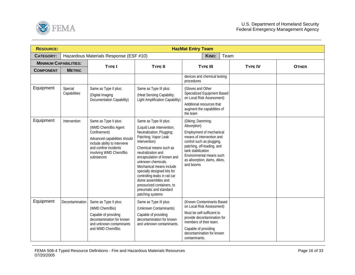

| <b>RESOURCE:</b>             |                         |                                                                                                                                                                                               |                                                                                                                                                                                                                                                                                                                                                                                                                               | <b>HazMat Entry Team</b>                                                                                                                                                                                                                           |                |              |
|------------------------------|-------------------------|-----------------------------------------------------------------------------------------------------------------------------------------------------------------------------------------------|-------------------------------------------------------------------------------------------------------------------------------------------------------------------------------------------------------------------------------------------------------------------------------------------------------------------------------------------------------------------------------------------------------------------------------|----------------------------------------------------------------------------------------------------------------------------------------------------------------------------------------------------------------------------------------------------|----------------|--------------|
| <b>CATEGORY:</b>             |                         | Hazardous Materials Response (ESF #10)                                                                                                                                                        |                                                                                                                                                                                                                                                                                                                                                                                                                               | Team<br>KIND:                                                                                                                                                                                                                                      |                |              |
| <b>MINIMUM CAPABILITIES:</b> |                         | <b>TYPE I</b>                                                                                                                                                                                 | <b>TYPE II</b>                                                                                                                                                                                                                                                                                                                                                                                                                | <b>TYPE III</b>                                                                                                                                                                                                                                    | <b>TYPE IV</b> | <b>OTHER</b> |
| <b>COMPONENT</b>             | <b>METRIC</b>           |                                                                                                                                                                                               |                                                                                                                                                                                                                                                                                                                                                                                                                               |                                                                                                                                                                                                                                                    |                |              |
|                              |                         |                                                                                                                                                                                               |                                                                                                                                                                                                                                                                                                                                                                                                                               | devices and chemical testing<br>procedures                                                                                                                                                                                                         |                |              |
| Equipment                    | Special<br>Capabilities | Same as Type II plus:<br>(Digital Imaging<br>Documentation Capability)                                                                                                                        | Same as Type III plus:<br>(Heat Sensing Capability;<br>Light Amplification Capability)                                                                                                                                                                                                                                                                                                                                        | (Gloves and Other<br>Specialized Equipment Based<br>on Local Risk Assessment)<br>Additional resources that<br>augment the capabilities of<br>the team                                                                                              |                |              |
| Equipment                    | Intervention            | Same as Type II plus:<br>(WMD Chem/Bio Agent<br>Confinement)<br>Advanced capabilities should<br>include ability to intervene<br>and confine incidents<br>involving WMD Chem/Bio<br>substances | Same as Type III plus:<br>(Liquid Leak Intervention;<br>Neutralization; Plugging;<br>Patching; Vapor Leak<br>Intervention)<br>Chemical means such as<br>neutralization and<br>encapsulation of known and<br>unknown chemicals.<br>Mechanical means include<br>specially designed kits for<br>controlling leaks in rail car<br>dome assemblies and<br>pressurized containers, to<br>pneumatic and standard<br>patching systems | (Diking; Damming;<br>Absorption)<br>Employment of mechanical<br>means of intervention and<br>control such as plugging,<br>patching, off-loading, and<br>tank stabilization<br>Environmental means such<br>as absorption, dams, dikes,<br>and booms |                |              |
| Equipment                    | Decontamination         | Same as Type II plus:<br>(WMD Chem/Bio)<br>Capable of providing<br>decontamination for known<br>and unknown contaminants<br>and WMD Chem/Bio.                                                 | Same as Type III plus:<br>(Unknown Contaminants)<br>Capable of providing<br>decontamination for known<br>and unknown contaminants.                                                                                                                                                                                                                                                                                            | (Known Contaminants Based)<br>on Local Risk Assessment)<br>Must be self-sufficient to<br>provide decontamination for<br>members of their team.<br>Capable of providing<br>decontamination for known<br>contaminants.                               |                |              |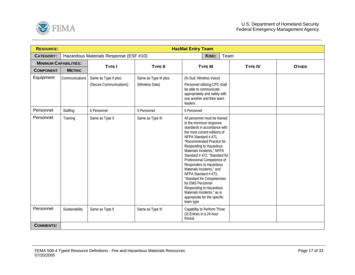

| <b>RESOURCE:</b>             |                |                                                  |                                           | <b>HazMat Entry Team</b>                                                                                                                                                                                                                                                                                                                                                                                                                                                                                                                     |                |              |
|------------------------------|----------------|--------------------------------------------------|-------------------------------------------|----------------------------------------------------------------------------------------------------------------------------------------------------------------------------------------------------------------------------------------------------------------------------------------------------------------------------------------------------------------------------------------------------------------------------------------------------------------------------------------------------------------------------------------------|----------------|--------------|
| <b>CATEGORY:</b>             |                | Hazardous Materials Response (ESF #10)           |                                           | Team<br>KIND:                                                                                                                                                                                                                                                                                                                                                                                                                                                                                                                                |                |              |
| <b>MINIMUM CAPABILITIES:</b> |                | <b>TYPE I</b>                                    | <b>TYPE II</b>                            | <b>TYPE III</b>                                                                                                                                                                                                                                                                                                                                                                                                                                                                                                                              | <b>TYPE IV</b> | <b>OTHER</b> |
| <b>COMPONENT</b>             | <b>METRIC</b>  |                                                  |                                           |                                                                                                                                                                                                                                                                                                                                                                                                                                                                                                                                              |                |              |
| Equipment                    | Communications | Same as Type II plus:<br>(Secure Communications) | Same as Type III plus:<br>(Wireless Data) | (In-Suit; Wireless Voice)<br>Personnel utilizing CPC shall<br>be able to communicate<br>appropriately and safely with<br>one another and their team<br>leaders                                                                                                                                                                                                                                                                                                                                                                               |                |              |
| Personnel                    | Staffing       | 5 Personnel                                      | 5 Personnel                               | 5 Personnel                                                                                                                                                                                                                                                                                                                                                                                                                                                                                                                                  |                |              |
| Personnel                    | Training       | Same as Type II                                  | Same as Type III                          | All personnel must be trained<br>to the minimum response<br>standards in accordance with<br>the most current editions of<br>NFPA Standard #471,<br>"Recommended Practice for<br>Responding to Hazardous<br>Materials Incidents," NFPA<br>Standard #472, "Standard for<br>Professional Competence of<br>Responders to Hazardous<br>Materials Incidents," and<br>NFPA Standard #473,<br>"Standard for Competencies<br>for EMS Personnel<br>Responding to Hazardous<br>Materials Incidents," as is<br>appropriate for the specific<br>team type |                |              |
| Personnel                    | Sustainability | Same as Type II                                  | Same as Type III                          | Capability to Perform Three<br>(3) Entries in a 24-hour<br>Period                                                                                                                                                                                                                                                                                                                                                                                                                                                                            |                |              |
| <b>COMMENTS:</b>             |                |                                                  |                                           |                                                                                                                                                                                                                                                                                                                                                                                                                                                                                                                                              |                |              |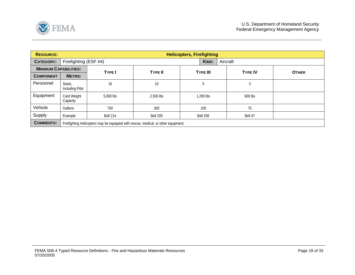<span id="page-17-0"></span>

| <b>RESOURCE:</b>             |                           | <b>Helicopters, Firefighting</b>                                                   |                 |                 |                |              |  |  |  |  |  |
|------------------------------|---------------------------|------------------------------------------------------------------------------------|-----------------|-----------------|----------------|--------------|--|--|--|--|--|
| <b>CATEGORY:</b>             |                           | Firefighting (ESF #4)<br>Aircraft<br>KIND:                                         |                 |                 |                |              |  |  |  |  |  |
| <b>MINIMUM CAPABILITIES:</b> |                           | <b>TYPE I</b>                                                                      | <b>TYPE II</b>  | <b>TYPE III</b> | <b>TYPE IV</b> | <b>OTHER</b> |  |  |  |  |  |
| <b>COMPONENT</b>             | <b>METRIC</b>             |                                                                                    |                 |                 |                |              |  |  |  |  |  |
| Personnel                    | Seats,<br>Including Pilot | 16                                                                                 | 10              | 5               | 3              |              |  |  |  |  |  |
| Equipment                    | Card Weight<br>Capacity   | 5,000 lbs                                                                          | 2,500 lbs       | 1.200 lbs       | 600 lbs        |              |  |  |  |  |  |
| Vehicle                      | Gallons                   | 700                                                                                | 300             | 100             | 75             |              |  |  |  |  |  |
| Supply                       | Example                   | <b>Bell 214</b>                                                                    | <b>Bell 205</b> | Bell 206        | Bell 47        |              |  |  |  |  |  |
| <b>COMMENTS:</b>             |                           | Firefighting Helicopters may be equipped with rescue, medical, or other equipment. |                 |                 |                |              |  |  |  |  |  |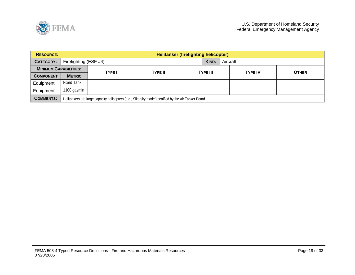<span id="page-18-0"></span>

| <b>RESOURCE:</b>             |                   | <b>Helitanker (firefighting helicopter)</b>                                                          |                |  |                 |  |                |              |  |  |  |  |
|------------------------------|-------------------|------------------------------------------------------------------------------------------------------|----------------|--|-----------------|--|----------------|--------------|--|--|--|--|
| <b>CATEGORY:</b>             |                   | Firefighting (ESF #4)                                                                                |                |  |                 |  | Aircraft       |              |  |  |  |  |
| <b>MINIMUM CAPABILITIES:</b> | TYPE I            |                                                                                                      | <b>TYPE II</b> |  | <b>TYPE III</b> |  | <b>TYPE IV</b> | <b>OTHER</b> |  |  |  |  |
| <b>COMPONENT</b>             | <b>METRIC</b>     |                                                                                                      |                |  |                 |  |                |              |  |  |  |  |
| Equipment                    | <b>Fixed Tank</b> |                                                                                                      |                |  |                 |  |                |              |  |  |  |  |
| Equipment                    | 1100 gal/min      |                                                                                                      |                |  |                 |  |                |              |  |  |  |  |
| <b>COMMENTS:</b>             |                   | Helitankers are large capacity helicopters (e.g., Sikorsky model) certified by the Air Tanker Board. |                |  |                 |  |                |              |  |  |  |  |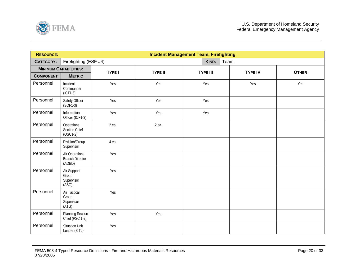<span id="page-19-0"></span>

| <b>RESOURCE:</b> |                                                    |        |                | <b>Incident Management Team, Firefighting</b> |                |              |  |  |  |
|------------------|----------------------------------------------------|--------|----------------|-----------------------------------------------|----------------|--------------|--|--|--|
| <b>CATEGORY:</b> | Firefighting (ESF #4)                              |        |                | KIND:<br>Team                                 |                |              |  |  |  |
|                  | <b>MINIMUM CAPABILITIES:</b>                       | TYPE I | <b>TYPE II</b> | <b>TYPE III</b>                               | <b>TYPE IV</b> | <b>OTHER</b> |  |  |  |
| <b>COMPONENT</b> | <b>METRIC</b>                                      |        |                |                                               |                |              |  |  |  |
| Personnel        | Incident<br>Commander<br>$(ICT1-5)$                | Yes    | Yes            | Yes                                           | Yes            | Yes          |  |  |  |
| Personnel        | Safety Officer<br>$(SOF1-3)$                       | Yes    | Yes            | Yes                                           |                |              |  |  |  |
| Personnel        | Information<br>Officer (IOF1-3)                    | Yes    | Yes            | Yes                                           |                |              |  |  |  |
| Personnel        | Operations<br>Section Chief<br>$(OSC1-2)$          | 2 ea.  | 2 ea.          |                                               |                |              |  |  |  |
| Personnel        | Division/Group<br>Supervisor                       | 4 ea.  |                |                                               |                |              |  |  |  |
| Personnel        | Air Operations<br><b>Branch Director</b><br>(AOBD) | Yes    |                |                                               |                |              |  |  |  |
| Personnel        | Air Support<br>Group<br>Supervisor<br>(ASG)        | Yes    |                |                                               |                |              |  |  |  |
| Personnel        | Air Tactical<br>Group<br>Supervisor<br>(ATG)       | Yes    |                |                                               |                |              |  |  |  |
| Personnel        | <b>Planning Section</b><br>Chief (PSC 1-2)         | Yes    | Yes            |                                               |                |              |  |  |  |
| Personnel        | <b>Situation Unit</b><br>Leader (SITL)             | Yes    |                |                                               |                |              |  |  |  |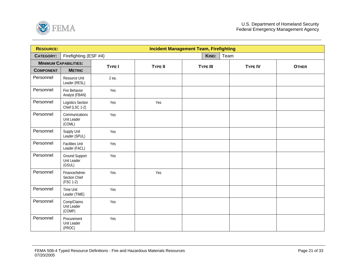

| <b>RESOURCE:</b> |                                             |        |                | <b>Incident Management Team, Firefighting</b> |                |              |
|------------------|---------------------------------------------|--------|----------------|-----------------------------------------------|----------------|--------------|
| <b>CATEGORY:</b> | Firefighting (ESF #4)                       |        |                | KIND:                                         | Team           |              |
|                  | <b>MINIMUM CAPABILITIES:</b>                | TYPE I | <b>TYPE II</b> | <b>TYPE III</b>                               | <b>TYPE IV</b> | <b>OTHER</b> |
| <b>COMPONENT</b> | <b>METRIC</b>                               |        |                |                                               |                |              |
| Personnel        | Resource Unit<br>Leader (RESL)              | 2 ea.  |                |                                               |                |              |
| Personnel        | Fire Behavior<br>Analyst (FBAN)             | Yes    |                |                                               |                |              |
| Personnel        | <b>Logistics Section</b><br>Chief (LSC 1-2) | Yes    | Yes            |                                               |                |              |
| Personnel        | Communications<br>Unit Leader<br>(COML)     | Yes    |                |                                               |                |              |
| Personnel        | Supply Unit<br>Leader (SPUL)                | Yes    |                |                                               |                |              |
| Personnel        | <b>Facilities Unit</b><br>Leader (FACL)     | Yes    |                |                                               |                |              |
| Personnel        | Ground Support<br>Unit Leader<br>(GSUL)     | Yes    |                |                                               |                |              |
| Personnel        | Finance/Admin<br>Section Chief<br>(FSC 1-2) | Yes    | Yes            |                                               |                |              |
| Personnel        | <b>Time Unit</b><br>Leader (TIME)           | Yes    |                |                                               |                |              |
| Personnel        | Comp/Claims<br>Unit Leader<br>(COMP)        | Yes    |                |                                               |                |              |
| Personnel        | Procurement<br>Unit Leader<br>(PROC)        | Yes    |                |                                               |                |              |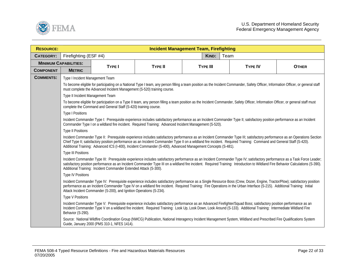

| <b>RESOURCE:</b>             |                                                                                                                                                                                                                                                                                                                                                                                                                                |                                                                         |                                                                                                                                                                                                                                                                                                                                                                                                                                                                    | <b>Incident Management Team, Firefighting</b> |      |                |              |  |  |  |
|------------------------------|--------------------------------------------------------------------------------------------------------------------------------------------------------------------------------------------------------------------------------------------------------------------------------------------------------------------------------------------------------------------------------------------------------------------------------|-------------------------------------------------------------------------|--------------------------------------------------------------------------------------------------------------------------------------------------------------------------------------------------------------------------------------------------------------------------------------------------------------------------------------------------------------------------------------------------------------------------------------------------------------------|-----------------------------------------------|------|----------------|--------------|--|--|--|
| <b>CATEGORY:</b>             | Firefighting (ESF #4)                                                                                                                                                                                                                                                                                                                                                                                                          |                                                                         |                                                                                                                                                                                                                                                                                                                                                                                                                                                                    | KIND:                                         | Team |                |              |  |  |  |
| <b>MINIMUM CAPABILITIES:</b> |                                                                                                                                                                                                                                                                                                                                                                                                                                | <b>TYPE I</b>                                                           | <b>TYPE II</b>                                                                                                                                                                                                                                                                                                                                                                                                                                                     | <b>TYPE III</b>                               |      | <b>TYPE IV</b> | <b>OTHER</b> |  |  |  |
| <b>COMPONENT</b>             | <b>METRIC</b>                                                                                                                                                                                                                                                                                                                                                                                                                  |                                                                         |                                                                                                                                                                                                                                                                                                                                                                                                                                                                    |                                               |      |                |              |  |  |  |
| <b>COMMENTS:</b>             | Type I Incident Management Team                                                                                                                                                                                                                                                                                                                                                                                                |                                                                         |                                                                                                                                                                                                                                                                                                                                                                                                                                                                    |                                               |      |                |              |  |  |  |
|                              |                                                                                                                                                                                                                                                                                                                                                                                                                                | must complete the Advanced Incident Management (S-520) training course. | To become eligible for participating on a National Type I team, any person filling a team position as the Incident Commander, Safety Officer, Information Officer, or general staff                                                                                                                                                                                                                                                                                |                                               |      |                |              |  |  |  |
|                              | Type II Incident Management Team                                                                                                                                                                                                                                                                                                                                                                                               |                                                                         |                                                                                                                                                                                                                                                                                                                                                                                                                                                                    |                                               |      |                |              |  |  |  |
|                              |                                                                                                                                                                                                                                                                                                                                                                                                                                | complete the Command and General Staff (S-420) training course.         | To become eligible for participation on a Type II team, any person filling a team position as the Incident Commander, Safety Officer, Information Officer, or general staff must                                                                                                                                                                                                                                                                                   |                                               |      |                |              |  |  |  |
|                              | <b>Type I Positions</b>                                                                                                                                                                                                                                                                                                                                                                                                        |                                                                         |                                                                                                                                                                                                                                                                                                                                                                                                                                                                    |                                               |      |                |              |  |  |  |
|                              |                                                                                                                                                                                                                                                                                                                                                                                                                                |                                                                         | Incident Commander Type I: Prerequisite experience includes satisfactory performance as an Incident Commander Type II; satisfactory position performance as an Incident<br>Commander Type I on a wildland fire incident. Required Training: Advanced Incident Management (S-520).                                                                                                                                                                                  |                                               |      |                |              |  |  |  |
|                              | <b>Type II Positions</b>                                                                                                                                                                                                                                                                                                                                                                                                       |                                                                         |                                                                                                                                                                                                                                                                                                                                                                                                                                                                    |                                               |      |                |              |  |  |  |
|                              |                                                                                                                                                                                                                                                                                                                                                                                                                                |                                                                         | Incident Commander Type II: Prerequisite experience includes satisfactory performance as an Incident Commander Type III; satisfactory performance as an Operations Section<br>Chief Type II; satisfactory position performance as an Incident Commander Type II on a wildland fire incident. Required Training: Command and General Staff (S-420).<br>Additional Training: Advanced ICS (I-400), Incident Commander (S-400), Advanced Management Concepts (S-481). |                                               |      |                |              |  |  |  |
|                              | <b>Type III Positions</b>                                                                                                                                                                                                                                                                                                                                                                                                      |                                                                         |                                                                                                                                                                                                                                                                                                                                                                                                                                                                    |                                               |      |                |              |  |  |  |
|                              |                                                                                                                                                                                                                                                                                                                                                                                                                                | Additional Training: Incident Commander Extended Attack (S-300).        | Incident Commander Type III: Prerequisite experience includes satisfactory performance as an Incident Commander Type IV; satisfactory performance as a Task Force Leader;<br>satisfactory position performance as an Incident Commander Type III on a wildland fire incident. Required Training: Introduction to Wildland Fire Behavior Calculations (S-390).                                                                                                      |                                               |      |                |              |  |  |  |
|                              | <b>Type IV Positions</b>                                                                                                                                                                                                                                                                                                                                                                                                       |                                                                         |                                                                                                                                                                                                                                                                                                                                                                                                                                                                    |                                               |      |                |              |  |  |  |
|                              | Incident Commander Type IV: Prerequisite experience includes satisfactory performance as a Single Resource Boss (Crew, Dozer, Engine, Tractor/Plow); satisfactory position<br>performance as an Incident Commander Type IV on a wildland fire incident. Required Training: Fire Operations in the Urban Interface (S-215). Additional Training: Initial<br>Attack Incident Commander (S-200), and Ignition Operations (S-234). |                                                                         |                                                                                                                                                                                                                                                                                                                                                                                                                                                                    |                                               |      |                |              |  |  |  |
|                              | <b>Type V Positions</b>                                                                                                                                                                                                                                                                                                                                                                                                        |                                                                         |                                                                                                                                                                                                                                                                                                                                                                                                                                                                    |                                               |      |                |              |  |  |  |
|                              | Incident Commander Type V: Prerequisite experience includes satisfactory performance as an Advanced Firefighter/Squad Boss; satisfactory position performance as an<br>Incident Commander Type V on a wildland fire incident. Required Training: Look Up, Look Down, Look Around (S-133). Additional Training: Intermediate Wildland Fire<br>Behavior (S-290).                                                                 |                                                                         |                                                                                                                                                                                                                                                                                                                                                                                                                                                                    |                                               |      |                |              |  |  |  |
|                              |                                                                                                                                                                                                                                                                                                                                                                                                                                | Guide, January 2000 (PMS 310-1, NFES 1414).                             | Source: National Wildfire Coordination Group (NWCG) Publication, National Interagency Incident Management System, Wildland and Prescribed Fire Qualifications System                                                                                                                                                                                                                                                                                               |                                               |      |                |              |  |  |  |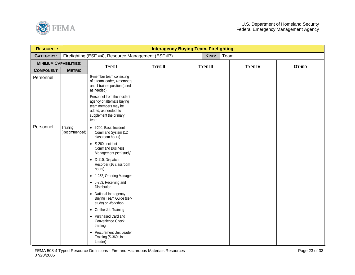<span id="page-22-0"></span>

| <b>RESOURCE:</b>             |                           |                                                                                                                                            | <b>Interagency Buying Team, Firefighting</b> |                 |      |                |              |
|------------------------------|---------------------------|--------------------------------------------------------------------------------------------------------------------------------------------|----------------------------------------------|-----------------|------|----------------|--------------|
| <b>CATEGORY:</b>             |                           | Firefighting (ESF #4), Resource Management (ESF #7)                                                                                        |                                              | KIND:           | Team |                |              |
| <b>MINIMUM CAPABILITIES:</b> |                           | <b>TYPE I</b>                                                                                                                              | <b>TYPE II</b>                               | <b>TYPE III</b> |      | <b>TYPE IV</b> | <b>OTHER</b> |
| <b>COMPONENT</b>             | <b>METRIC</b>             |                                                                                                                                            |                                              |                 |      |                |              |
| Personnel                    |                           | 6-member team consisting<br>of a team leader, 4 members<br>and 1 trainee position (used<br>as needed)                                      |                                              |                 |      |                |              |
|                              |                           | Personnel from the incident<br>agency or alternate buying<br>team members may be<br>added, as needed, to<br>supplement the primary<br>team |                                              |                 |      |                |              |
| Personnel                    | Training<br>(Recommended) | · I-200, Basic Incident<br>Command System (12<br>classroom hours)                                                                          |                                              |                 |      |                |              |
|                              |                           | • S-260, Incident<br><b>Command Business</b><br>Management (self-study)                                                                    |                                              |                 |      |                |              |
|                              |                           | • D-110, Dispatch<br>Recorder (16 classroom<br>hours)                                                                                      |                                              |                 |      |                |              |
|                              |                           | • J-252, Ordering Manager                                                                                                                  |                                              |                 |      |                |              |
|                              |                           | • J-253, Receiving and<br>Distribution                                                                                                     |                                              |                 |      |                |              |
|                              |                           | • National Interagency<br>Buying Team Guide (self-<br>study) or Workshop                                                                   |                                              |                 |      |                |              |
|                              |                           | • On-the-Job Training                                                                                                                      |                                              |                 |      |                |              |
|                              |                           | • Purchased Card and<br>Convenience Check<br>training                                                                                      |                                              |                 |      |                |              |
|                              |                           | Procurement Unit Leader<br>$\bullet$<br>Training (S-360 Unit<br>Leader)                                                                    |                                              |                 |      |                |              |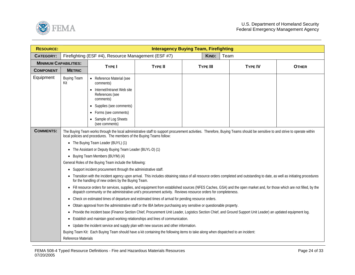

| <b>RESOURCE:</b>             |                           |                                                                                                                                                                                                                                                                                             |                | <b>Interagency Buying Team, Firefighting</b> |      |                |              |  |  |  |  |
|------------------------------|---------------------------|---------------------------------------------------------------------------------------------------------------------------------------------------------------------------------------------------------------------------------------------------------------------------------------------|----------------|----------------------------------------------|------|----------------|--------------|--|--|--|--|
| <b>CATEGORY:</b>             |                           | Firefighting (ESF #4), Resource Management (ESF #7)                                                                                                                                                                                                                                         |                | KIND:                                        | Team |                |              |  |  |  |  |
| <b>MINIMUM CAPABILITIES:</b> |                           |                                                                                                                                                                                                                                                                                             | <b>TYPE II</b> |                                              |      |                |              |  |  |  |  |
| <b>COMPONENT</b>             | <b>METRIC</b>             | <b>TYPE I</b>                                                                                                                                                                                                                                                                               |                | <b>TYPE III</b>                              |      | <b>TYPE IV</b> | <b>OTHER</b> |  |  |  |  |
| Equipment                    | <b>Buying Team</b><br>Kit | • Reference Material (see<br>comments)                                                                                                                                                                                                                                                      |                |                                              |      |                |              |  |  |  |  |
|                              |                           | • Internet/Intranet Web site<br>References (see<br>comments)                                                                                                                                                                                                                                |                |                                              |      |                |              |  |  |  |  |
|                              |                           | • Supplies (see comments)                                                                                                                                                                                                                                                                   |                |                                              |      |                |              |  |  |  |  |
|                              |                           | • Forms (see comments)                                                                                                                                                                                                                                                                      |                |                                              |      |                |              |  |  |  |  |
|                              |                           | Sample of Log Sheets<br>(see comments)                                                                                                                                                                                                                                                      |                |                                              |      |                |              |  |  |  |  |
| <b>COMMENTS:</b>             |                           | The Buying Team works through the local administrative staff to support procurement activities. Therefore, Buying Teams should be sensitive to and strive to operate within<br>local policies and procedures. The members of the Buying Teams follow:                                       |                |                                              |      |                |              |  |  |  |  |
|                              |                           | • The Buying Team Leader (BUYL) (1)                                                                                                                                                                                                                                                         |                |                                              |      |                |              |  |  |  |  |
|                              | ٠                         | The Assistant or Deputy Buying Team Leader (BUYL-D) (1)                                                                                                                                                                                                                                     |                |                                              |      |                |              |  |  |  |  |
|                              | $\bullet$                 | Buying Team Members (BUYM) (4)                                                                                                                                                                                                                                                              |                |                                              |      |                |              |  |  |  |  |
|                              |                           | General Roles of the Buying Team include the following:                                                                                                                                                                                                                                     |                |                                              |      |                |              |  |  |  |  |
|                              | $\bullet$                 | Support incident procurement through the administrative staff.                                                                                                                                                                                                                              |                |                                              |      |                |              |  |  |  |  |
|                              |                           | • Transition with the incident agency upon arrival. This includes obtaining status of all resource orders completed and outstanding to date, as well as initiating procedures<br>for the handling of new orders by the Buying Team.                                                         |                |                                              |      |                |              |  |  |  |  |
|                              |                           | • Fill resource orders for services, supplies, and equipment from established sources (NFES Caches, GSA) and the open market and, for those which are not filled, by the<br>dispatch community or the administrative unit's procurement activity. Reviews resource orders for completeness. |                |                                              |      |                |              |  |  |  |  |
|                              | $\bullet$                 | Check on estimated times of departure and estimated times of arrival for pending resource orders.                                                                                                                                                                                           |                |                                              |      |                |              |  |  |  |  |
|                              | ٠                         | Obtain approval from the administrative staff or the IBA before purchasing any sensitive or questionable property.                                                                                                                                                                          |                |                                              |      |                |              |  |  |  |  |
|                              | $\bullet$                 | Provide the incident base (Finance Section Chief, Procurement Unit Leader, Logistics Section Chief, and Ground Support Unit Leader) an updated equipment log.                                                                                                                               |                |                                              |      |                |              |  |  |  |  |
|                              | $\bullet$                 | Establish and maintain good working relationships and lines of communication.                                                                                                                                                                                                               |                |                                              |      |                |              |  |  |  |  |
|                              | $\bullet$                 | Update the incident service and supply plan with new sources and other information.                                                                                                                                                                                                         |                |                                              |      |                |              |  |  |  |  |
|                              |                           | Buying Team Kit: Each Buying Team should have a kit containing the following items to take along when dispatched to an incident:                                                                                                                                                            |                |                                              |      |                |              |  |  |  |  |
|                              | Reference Materials       |                                                                                                                                                                                                                                                                                             |                |                                              |      |                |              |  |  |  |  |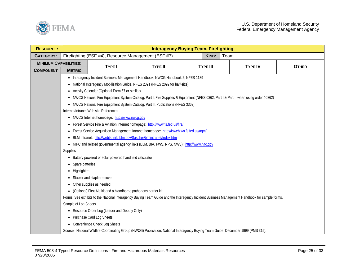

| <b>RESOURCE:</b>             |                                                                                         |                                                                                                                                   | <b>Interagency Buying Team, Firefighting</b> |                 |       |                                                                                                                                               |              |  |  |  |
|------------------------------|-----------------------------------------------------------------------------------------|-----------------------------------------------------------------------------------------------------------------------------------|----------------------------------------------|-----------------|-------|-----------------------------------------------------------------------------------------------------------------------------------------------|--------------|--|--|--|
| <b>CATEGORY:</b>             |                                                                                         | Firefighting (ESF #4), Resource Management (ESF #7)                                                                               |                                              |                 | KIND: | Team                                                                                                                                          |              |  |  |  |
| <b>MINIMUM CAPABILITIES:</b> |                                                                                         | <b>TYPE I</b>                                                                                                                     | <b>TYPE II</b>                               | <b>TYPE III</b> |       | <b>TYPE IV</b>                                                                                                                                |              |  |  |  |
| <b>COMPONENT</b>             | <b>METRIC</b>                                                                           |                                                                                                                                   |                                              |                 |       |                                                                                                                                               | <b>OTHER</b> |  |  |  |
|                              |                                                                                         | • Interagency Incident Business Management Handbook, NWCG Handbook 2, NFES 1139                                                   |                                              |                 |       |                                                                                                                                               |              |  |  |  |
|                              |                                                                                         | National Interagency Mobilization Guide, NFES 2091 (NFES 2092 for half-size)                                                      |                                              |                 |       |                                                                                                                                               |              |  |  |  |
|                              |                                                                                         | Activity Calendar (Optional Form 67 or similar)                                                                                   |                                              |                 |       |                                                                                                                                               |              |  |  |  |
|                              |                                                                                         |                                                                                                                                   |                                              |                 |       | NWCG National Fire Equipment System Catalog, Part I, Fire Supplies & Equipment (NFES 0362, Part I & Part II when using order #0362)           |              |  |  |  |
|                              |                                                                                         | • NWCG National Fire Equipment System Catalog, Part II, Publications (NFES 3362)                                                  |                                              |                 |       |                                                                                                                                               |              |  |  |  |
|                              |                                                                                         | Internet/Intranet Web site References                                                                                             |                                              |                 |       |                                                                                                                                               |              |  |  |  |
|                              |                                                                                         | • NWCG Internet homepage: http://www.nwcg.gov                                                                                     |                                              |                 |       |                                                                                                                                               |              |  |  |  |
|                              | • Forest Service Fire & Aviation Internet homepage: http://www.fs.fed.us/fire/          |                                                                                                                                   |                                              |                 |       |                                                                                                                                               |              |  |  |  |
|                              | Forest Service Acquisition Management Intranet homepage: http://fsweb.wo.fs.fed.us/aqm/ |                                                                                                                                   |                                              |                 |       |                                                                                                                                               |              |  |  |  |
|                              | $\bullet$                                                                               | BLM Intranet: http://webtst.nifc.blm.gov/Sascher/blmintranet/Index.htm                                                            |                                              |                 |       |                                                                                                                                               |              |  |  |  |
|                              |                                                                                         | • NIFC and related governmental agency links (BLM, BIA, FWS, NPS, NWS): http://www.nifc.gov                                       |                                              |                 |       |                                                                                                                                               |              |  |  |  |
|                              | Supplies                                                                                |                                                                                                                                   |                                              |                 |       |                                                                                                                                               |              |  |  |  |
|                              |                                                                                         | Battery powered or solar powered handheld calculator                                                                              |                                              |                 |       |                                                                                                                                               |              |  |  |  |
|                              | Spare batteries                                                                         |                                                                                                                                   |                                              |                 |       |                                                                                                                                               |              |  |  |  |
|                              | Highlighters<br>$\bullet$                                                               |                                                                                                                                   |                                              |                 |       |                                                                                                                                               |              |  |  |  |
|                              |                                                                                         | Stapler and staple remover                                                                                                        |                                              |                 |       |                                                                                                                                               |              |  |  |  |
|                              |                                                                                         | Other supplies as needed                                                                                                          |                                              |                 |       |                                                                                                                                               |              |  |  |  |
|                              |                                                                                         | (Optional) First Aid kit and a bloodborne pathogens barrier kit                                                                   |                                              |                 |       |                                                                                                                                               |              |  |  |  |
|                              |                                                                                         |                                                                                                                                   |                                              |                 |       | Forms, See exhibits to the National Interagency Buying Team Guide and the Interagency Incident Business Management Handbook for sample forms. |              |  |  |  |
|                              | Sample of Log Sheets                                                                    |                                                                                                                                   |                                              |                 |       |                                                                                                                                               |              |  |  |  |
|                              | • Resource Order Log (Leader and Deputy Only)                                           |                                                                                                                                   |                                              |                 |       |                                                                                                                                               |              |  |  |  |
|                              | • Purchase Card Log Sheets                                                              |                                                                                                                                   |                                              |                 |       |                                                                                                                                               |              |  |  |  |
|                              |                                                                                         | • Convenience Check Log Sheets                                                                                                    |                                              |                 |       |                                                                                                                                               |              |  |  |  |
|                              |                                                                                         | Source: National Wildfire Coordinating Group (NWCG) Publication, National Interagency Buying Team Guide, December 1999 (PMS 315). |                                              |                 |       |                                                                                                                                               |              |  |  |  |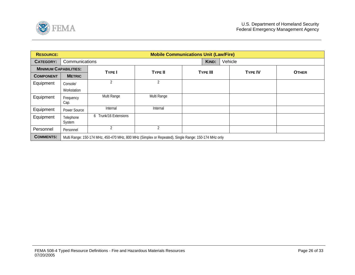<span id="page-25-0"></span>

| <b>RESOURCE:</b>             |                     | <b>Mobile Communications Unit (Law/Fire)</b>                                                         |                |                 |       |  |                |              |  |  |  |
|------------------------------|---------------------|------------------------------------------------------------------------------------------------------|----------------|-----------------|-------|--|----------------|--------------|--|--|--|
| <b>CATEGORY:</b>             | Communications      |                                                                                                      |                |                 | KIND: |  | Vehicle        |              |  |  |  |
| <b>MINIMUM CAPABILITIES:</b> |                     | <b>TYPE</b>                                                                                          | <b>TYPE II</b> | <b>TYPE III</b> |       |  | <b>TYPE IV</b> | <b>OTHER</b> |  |  |  |
| <b>COMPONENT</b>             | <b>METRIC</b>       |                                                                                                      |                |                 |       |  |                |              |  |  |  |
| Equipment                    | Console/            | $\overline{2}$                                                                                       | $\overline{2}$ |                 |       |  |                |              |  |  |  |
|                              | Workstation         |                                                                                                      |                |                 |       |  |                |              |  |  |  |
| Equipment                    | Frequency<br>Cap.   | Multi Range                                                                                          | Multi Range    |                 |       |  |                |              |  |  |  |
| Equipment                    | Power Source        | Internal                                                                                             | Internal       |                 |       |  |                |              |  |  |  |
| Equipment                    | Telephone<br>System | Trunk/16 Extensions<br>6                                                                             |                |                 |       |  |                |              |  |  |  |
| Personnel                    | Personnel           | $\overline{2}$                                                                                       | $\overline{2}$ |                 |       |  |                |              |  |  |  |
| <b>COMMENTS:</b>             |                     | Multi Range: 150-174 MHz, 450-470 MHz, 800 MHz (Simplex or Repeated), Single Range: 150-174 MHz only |                |                 |       |  |                |              |  |  |  |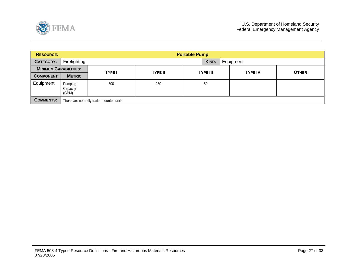<span id="page-26-0"></span>

| <b>RESOURCE:</b>             |                                           | <b>Portable Pump</b> |                |                 |           |                |              |  |  |  |  |
|------------------------------|-------------------------------------------|----------------------|----------------|-----------------|-----------|----------------|--------------|--|--|--|--|
| <b>CATEGORY:</b>             | Firefighting                              |                      |                | KIND:           | Equipment |                |              |  |  |  |  |
| <b>MINIMUM CAPABILITIES:</b> |                                           | <b>TYPE I</b>        | <b>TYPE II</b> | <b>TYPE III</b> |           | <b>TYPE IV</b> | <b>OTHER</b> |  |  |  |  |
| <b>COMPONENT</b>             | <b>METRIC</b>                             |                      |                |                 |           |                |              |  |  |  |  |
| Equipment                    | Pumping<br>Capacity<br>(GPM)              | 500                  | 250            | 50              |           |                |              |  |  |  |  |
| <b>COMMENTS:</b>             | These are normally trailer mounted units. |                      |                |                 |           |                |              |  |  |  |  |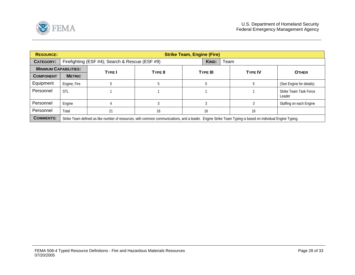<span id="page-27-0"></span>

| <b>RESOURCE:</b>             |                                                                                                                                                            | <b>Strike Team, Engine (Fire)</b>               |                |                 |                |                                  |  |  |  |  |  |
|------------------------------|------------------------------------------------------------------------------------------------------------------------------------------------------------|-------------------------------------------------|----------------|-----------------|----------------|----------------------------------|--|--|--|--|--|
| CATEGORY:                    |                                                                                                                                                            | Firefighting (ESF #4); Search & Rescue (ESF #9) |                | KIND:           | Team           |                                  |  |  |  |  |  |
| <b>MINIMUM CAPABILITIES:</b> |                                                                                                                                                            | <b>TYPE</b>                                     |                | <b>TYPE III</b> | <b>TYPE IV</b> | <b>OTHER</b>                     |  |  |  |  |  |
| <b>COMPONENT</b>             | <b>METRIC</b>                                                                                                                                              |                                                 | <b>TYPE II</b> |                 |                |                                  |  |  |  |  |  |
| Equipment                    | Engine, Fire                                                                                                                                               |                                                 |                |                 |                | (See Engine for details)         |  |  |  |  |  |
| Personnel                    | <b>STL</b>                                                                                                                                                 |                                                 |                |                 |                | Strike Team Task Force<br>Leader |  |  |  |  |  |
| Personnel                    | Engine                                                                                                                                                     |                                                 |                |                 |                | Staffing on each Engine          |  |  |  |  |  |
| Personnel                    | Total                                                                                                                                                      | 21                                              | 16             | 16              | 16             |                                  |  |  |  |  |  |
| <b>COMMENTS:</b>             | Strike Team defined as like number of resources, with common communications, and a leader. Engine Strike Team Typing is based on individual Engine Typing. |                                                 |                |                 |                |                                  |  |  |  |  |  |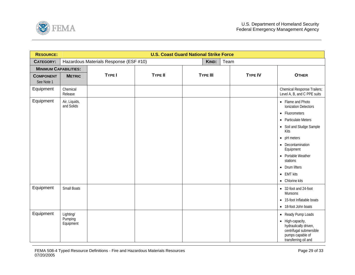<span id="page-28-0"></span>

| <b>RESOURCE:</b>               | <b>U.S. Coast Guard National Strike Force</b> |                                        |                |  |                 |      |                |                                                                                                                                                                                                                                                                                      |  |  |
|--------------------------------|-----------------------------------------------|----------------------------------------|----------------|--|-----------------|------|----------------|--------------------------------------------------------------------------------------------------------------------------------------------------------------------------------------------------------------------------------------------------------------------------------------|--|--|
| <b>CATEGORY:</b>               |                                               | Hazardous Materials Response (ESF #10) |                |  | KIND:           | Team |                |                                                                                                                                                                                                                                                                                      |  |  |
| <b>MINIMUM CAPABILITIES:</b>   |                                               |                                        |                |  |                 |      |                |                                                                                                                                                                                                                                                                                      |  |  |
| <b>COMPONENT</b><br>See Note 1 | <b>METRIC</b>                                 | TYPE I                                 | <b>TYPE II</b> |  | <b>TYPE III</b> |      | <b>TYPE IV</b> | <b>OTHER</b>                                                                                                                                                                                                                                                                         |  |  |
| Equipment                      | Chemical<br>Release                           |                                        |                |  |                 |      |                | Chemical Response Trailers;<br>Level A, B, and C PPE suits                                                                                                                                                                                                                           |  |  |
| Equipment                      | Air, Liquids,<br>and Solids                   |                                        |                |  |                 |      |                | • Flame and Photo<br><b>Ionization Detectors</b><br>• Fluorometers<br>• Particulate Meters<br>• Soil and Sludge Sample<br>Kits<br>$\bullet$ pH meters<br>• Decontamination<br>Equipment<br>• Portable Weather<br>stations<br>• Drum lifters<br>$\bullet$ EMT kits<br>• Chlorine kits |  |  |
| Equipment                      | <b>Small Boats</b>                            |                                        |                |  |                 |      |                | • 32-foot and 24-foot<br>Munsons<br>• 15-foot Inflatable boats<br>• 18-foot John boats                                                                                                                                                                                               |  |  |
| Equipment                      | Lighting/<br>Pumping<br>Equipment             |                                        |                |  |                 |      |                | • Ready Pump Loads<br>• High-capacity,<br>hydraulically driven,<br>centrifugal submersible<br>pumps capable of<br>transferring oil and                                                                                                                                               |  |  |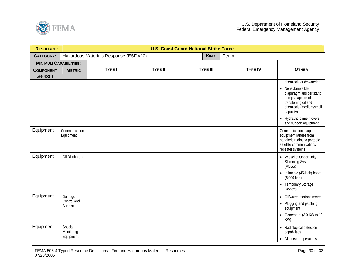

| <b>RESOURCE:</b>             | <b>U.S. Coast Guard National Strike Force</b> |                                        |                |                 |       |      |                |                                                                                                                                                                   |  |  |
|------------------------------|-----------------------------------------------|----------------------------------------|----------------|-----------------|-------|------|----------------|-------------------------------------------------------------------------------------------------------------------------------------------------------------------|--|--|
| <b>CATEGORY:</b>             |                                               | Hazardous Materials Response (ESF #10) |                |                 | KIND: | Team |                |                                                                                                                                                                   |  |  |
| <b>MINIMUM CAPABILITIES:</b> |                                               |                                        |                |                 |       |      |                |                                                                                                                                                                   |  |  |
| <b>COMPONENT</b>             | <b>METRIC</b>                                 | <b>TYPE I</b>                          | <b>TYPE II</b> | <b>TYPE III</b> |       |      | <b>TYPE IV</b> | <b>OTHER</b>                                                                                                                                                      |  |  |
| See Note 1                   |                                               |                                        |                |                 |       |      |                | chemicals or dewatering                                                                                                                                           |  |  |
|                              |                                               |                                        |                |                 |       |      |                | Nonsubmersible<br>$\bullet$<br>diaphragm and peristaltic<br>pumps capable of<br>transferring oil and<br>chemicals (medium/small<br>capacity)                      |  |  |
|                              |                                               |                                        |                |                 |       |      |                | • Hydraulic prime movers<br>and support equipment                                                                                                                 |  |  |
| Equipment                    | Communications<br>Equipment                   |                                        |                |                 |       |      |                | Communications support<br>equipment ranges from<br>handheld radios to portable<br>satellite communications<br>repeater systems                                    |  |  |
| Equipment                    | Oil Discharges                                |                                        |                |                 |       |      |                | • Vessel of Opportunity<br>Skimming System<br>(VOSS)<br>• Inflatable (45-inch) boom<br>$(6,000 \text{ feet})$<br>Temporary Storage<br>$\bullet$<br><b>Devices</b> |  |  |
| Equipment                    | Damage<br>Control and<br>Support              |                                        |                |                 |       |      |                | • Oil/water interface meter<br>• Plugging and patching<br>equipment<br>• Generators (3.0 KW to 10<br>KW)                                                          |  |  |
| Equipment                    | Special<br>Monitoring<br>Equipment            |                                        |                |                 |       |      |                | • Radiological detection<br>capabilities<br>• Dispersant operations                                                                                               |  |  |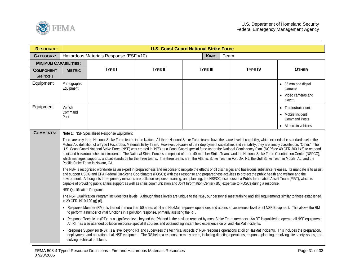

| <b>RESOURCE:</b>               | <b>U.S. Coast Guard National Strike Force</b>                                                                                                                                                                                                                                                                                                                                                                                                                                                                                                                                                                                                                                                                                                                                                                                                                                                                                                                                                                                                                                                                                                                                                                                                                                                                                                                                                                                                                                                                                                                                                                                                                                                                        |                                        |                |                 |                |                                                                                                |  |  |  |
|--------------------------------|----------------------------------------------------------------------------------------------------------------------------------------------------------------------------------------------------------------------------------------------------------------------------------------------------------------------------------------------------------------------------------------------------------------------------------------------------------------------------------------------------------------------------------------------------------------------------------------------------------------------------------------------------------------------------------------------------------------------------------------------------------------------------------------------------------------------------------------------------------------------------------------------------------------------------------------------------------------------------------------------------------------------------------------------------------------------------------------------------------------------------------------------------------------------------------------------------------------------------------------------------------------------------------------------------------------------------------------------------------------------------------------------------------------------------------------------------------------------------------------------------------------------------------------------------------------------------------------------------------------------------------------------------------------------------------------------------------------------|----------------------------------------|----------------|-----------------|----------------|------------------------------------------------------------------------------------------------|--|--|--|
| <b>CATEGORY:</b>               |                                                                                                                                                                                                                                                                                                                                                                                                                                                                                                                                                                                                                                                                                                                                                                                                                                                                                                                                                                                                                                                                                                                                                                                                                                                                                                                                                                                                                                                                                                                                                                                                                                                                                                                      | Hazardous Materials Response (ESF #10) |                | KIND:           | Team           |                                                                                                |  |  |  |
| <b>MINIMUM CAPABILITIES:</b>   |                                                                                                                                                                                                                                                                                                                                                                                                                                                                                                                                                                                                                                                                                                                                                                                                                                                                                                                                                                                                                                                                                                                                                                                                                                                                                                                                                                                                                                                                                                                                                                                                                                                                                                                      |                                        |                |                 |                |                                                                                                |  |  |  |
| <b>COMPONENT</b><br>See Note 1 | <b>METRIC</b>                                                                                                                                                                                                                                                                                                                                                                                                                                                                                                                                                                                                                                                                                                                                                                                                                                                                                                                                                                                                                                                                                                                                                                                                                                                                                                                                                                                                                                                                                                                                                                                                                                                                                                        | <b>TYPE I</b>                          | <b>TYPE II</b> | <b>TYPE III</b> | <b>TYPE IV</b> | <b>OTHER</b>                                                                                   |  |  |  |
| Equipment                      | Photographic<br>Equipment                                                                                                                                                                                                                                                                                                                                                                                                                                                                                                                                                                                                                                                                                                                                                                                                                                                                                                                                                                                                                                                                                                                                                                                                                                                                                                                                                                                                                                                                                                                                                                                                                                                                                            |                                        |                |                 |                | • 35 mm and digital<br>cameras<br>• Video cameras and<br>players                               |  |  |  |
| Equipment                      | Vehicle<br>Command<br>Post                                                                                                                                                                                                                                                                                                                                                                                                                                                                                                                                                                                                                                                                                                                                                                                                                                                                                                                                                                                                                                                                                                                                                                                                                                                                                                                                                                                                                                                                                                                                                                                                                                                                                           |                                        |                |                 |                | • Tractor/trailer units<br>• Mobile Incident<br><b>Command Posts</b><br>• All-terrain vehicles |  |  |  |
| <b>COMMENTS:</b>               | Note 1: NSF Specialized Response Equipment<br>There are only three National Strike Force teams in the Nation. All three National Strike Force teams have the same level of capability, which exceeds the standards set in the<br>Mutual Aid definition of a Type I Hazardous Materials Entry Team. However, because of their deployment capabilities and versatility, they are simply classified as "Other." The<br>U.S. Coast Guard National Strike Force (NSF) was created in 1973 as a Coast Guard special force under the National Contingency Plan (NCP/see 40 CFR 300.145) to respond<br>to oil and hazardous chemical incidents. The National Strike Force is comprised of three 40-member Strike Teams and the National Strike Force Coordination Center (NSFCC),<br>which manages, supports, and set standards for the three teams. The three teams are: the Atlantic Strike Team in Fort Dix, NJ; the Gulf Strike Team in Mobile, AL; and the<br>Pacific Strike Team in Novato, CA.<br>The NSF is recognized worldwide as an expert in preparedness and response to mitigate the effects of oil discharges and hazardous substance releases. Its mandate is to assist<br>and support USCG and EPA Federal On-Scene Coordinators (FOSCs) with their response and preparedness activities to protect the public health and welfare and the<br>environment. Although its three primary missions are pollution response, training, and planning, the NSFCC also houses a Public Information Assist Team (PIAT), which is<br>capable of providing public affairs support as well as crisis communication and Joint Information Center (JIC) expertise to FOSCs during a response.<br>NSF Qualification Program: |                                        |                |                 |                |                                                                                                |  |  |  |
|                                | The NSF Qualification Program includes four levels. Although these levels are unique to the NSF, our personnel meet training and skill requirements similar to those established<br>in 29 CFR 1910.120 (g) (6).<br>• Response Member (RM): Is trained in more than 50 areas of oil and HazMat response operations and attains an awareness level of all NSF Equipment. This allows the RM<br>to perform a number of vital functions in a pollution response, primarily assisting the RT.<br>• Response Technician (RT): Is a significant level beyond the RM and is the position reached by most Strike Team members. An RT is qualified to operate all NSF equipment.<br>An RT has also attended pollution response specialist courses and obtained significant field experience on oil and HazMat incidents.<br>• Response Supervisor (RS): Is a level beyond RT and supervises the technical aspects of NSF response operations at oil or HazMat incidents. This includes the preparation,<br>deployment, and operation of all NSF equipment. The RS helps a response in many areas, including directing operations, response planning, resolving site safety issues, and<br>solving technical problems.                                                                                                                                                                                                                                                                                                                                                                                                                                                                                                          |                                        |                |                 |                |                                                                                                |  |  |  |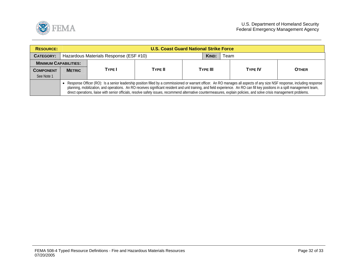

| <b>RESOURCE:</b>             |               | <b>U.S. Coast Guard National Strike Force</b>                                                                                                                                                                                                                                                                                                                                                                                                                                                                                           |                |                 |  |  |                |              |  |  |
|------------------------------|---------------|-----------------------------------------------------------------------------------------------------------------------------------------------------------------------------------------------------------------------------------------------------------------------------------------------------------------------------------------------------------------------------------------------------------------------------------------------------------------------------------------------------------------------------------------|----------------|-----------------|--|--|----------------|--------------|--|--|
| <b>CATEGORY:</b>             |               | Hazardous Materials Response (ESF #10)                                                                                                                                                                                                                                                                                                                                                                                                                                                                                                  |                |                 |  |  | Team           |              |  |  |
| <b>MINIMUM CAPABILITIES:</b> |               |                                                                                                                                                                                                                                                                                                                                                                                                                                                                                                                                         |                |                 |  |  |                |              |  |  |
| <b>COMPONENT</b>             | <b>METRIC</b> | <b>TYPE</b>                                                                                                                                                                                                                                                                                                                                                                                                                                                                                                                             | <b>TYPE II</b> | <b>TYPE III</b> |  |  | <b>TYPF IV</b> | <b>OTHER</b> |  |  |
| See Note 1                   |               |                                                                                                                                                                                                                                                                                                                                                                                                                                                                                                                                         |                |                 |  |  |                |              |  |  |
|                              |               | • Response Officer (RO): Is a senior leadership position filled by a commissioned or warrant officer. An RO manages all aspects of any size NSF response, including response<br>planning, mobilization, and operations. An RO receives significant resident and unit training, and field experience. An RO can fill key positions in a spill management team,<br>direct operations, liaise with senior officials, resolve safety issues, recommend alternative countermeasures, explain policies, and solve crisis management problems. |                |                 |  |  |                |              |  |  |